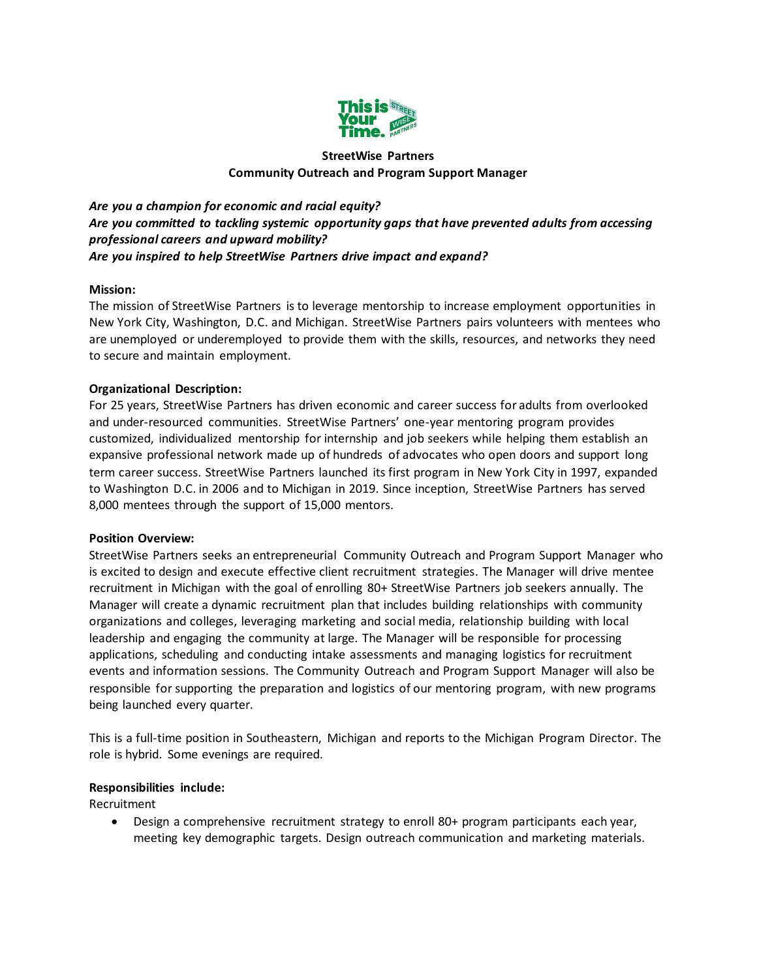

# **StreetWise Partners Community Outreach and Program Support Manager**

*Are you a champion for economic and racial equity? Are you committed to tackling systemic opportunity gaps that have prevented adults from accessing professional careers and upward mobility? Are you inspired to help StreetWise Partners drive impact and expand?*

### **Mission:**

The mission of StreetWise Partners is to leverage mentorship to increase employment opportunities in New York City, Washington, D.C. and Michigan. StreetWise Partners pairs volunteers with mentees who are unemployed or underemployed to provide them with the skills, resources, and networks they need to secure and maintain employment.

### **Organizational Description:**

For 25 years, StreetWise Partners has driven economic and career success for adults from overlooked and under-resourced communities. StreetWise Partners' one-year mentoring program provides customized, individualized mentorship for internship and job seekers while helping them establish an expansive professional network made up of hundreds of advocates who open doors and support long term career success. StreetWise Partners launched its first program in New York City in 1997, expanded to Washington D.C. in 2006 and to Michigan in 2019. Since inception, StreetWise Partners has served 8,000 mentees through the support of 15,000 mentors.

#### **Position Overview:**

StreetWise Partners seeks an entrepreneurial Community Outreach and Program Support Manager who is excited to design and execute effective client recruitment strategies. The Manager will drive mentee recruitment in Michigan with the goal of enrolling 80+ StreetWise Partners job seekers annually. The Manager will create a dynamic recruitment plan that includes building relationships with community organizations and colleges, leveraging marketing and social media, relationship building with local leadership and engaging the community at large. The Manager will be responsible for processing applications, scheduling and conducting intake assessments and managing logistics for recruitment events and information sessions. The Community Outreach and Program Support Manager will also be responsible for supporting the preparation and logistics of our mentoring program, with new programs being launched every quarter.

This is a full-time position in Southeastern, Michigan and reports to the Michigan Program Director. The role is hybrid. Some evenings are required.

#### **Responsibilities include:**

Recruitment

 Design a comprehensive recruitment strategy to enroll 80+ program participants each year, meeting key demographic targets. Design outreach communication and marketing materials.